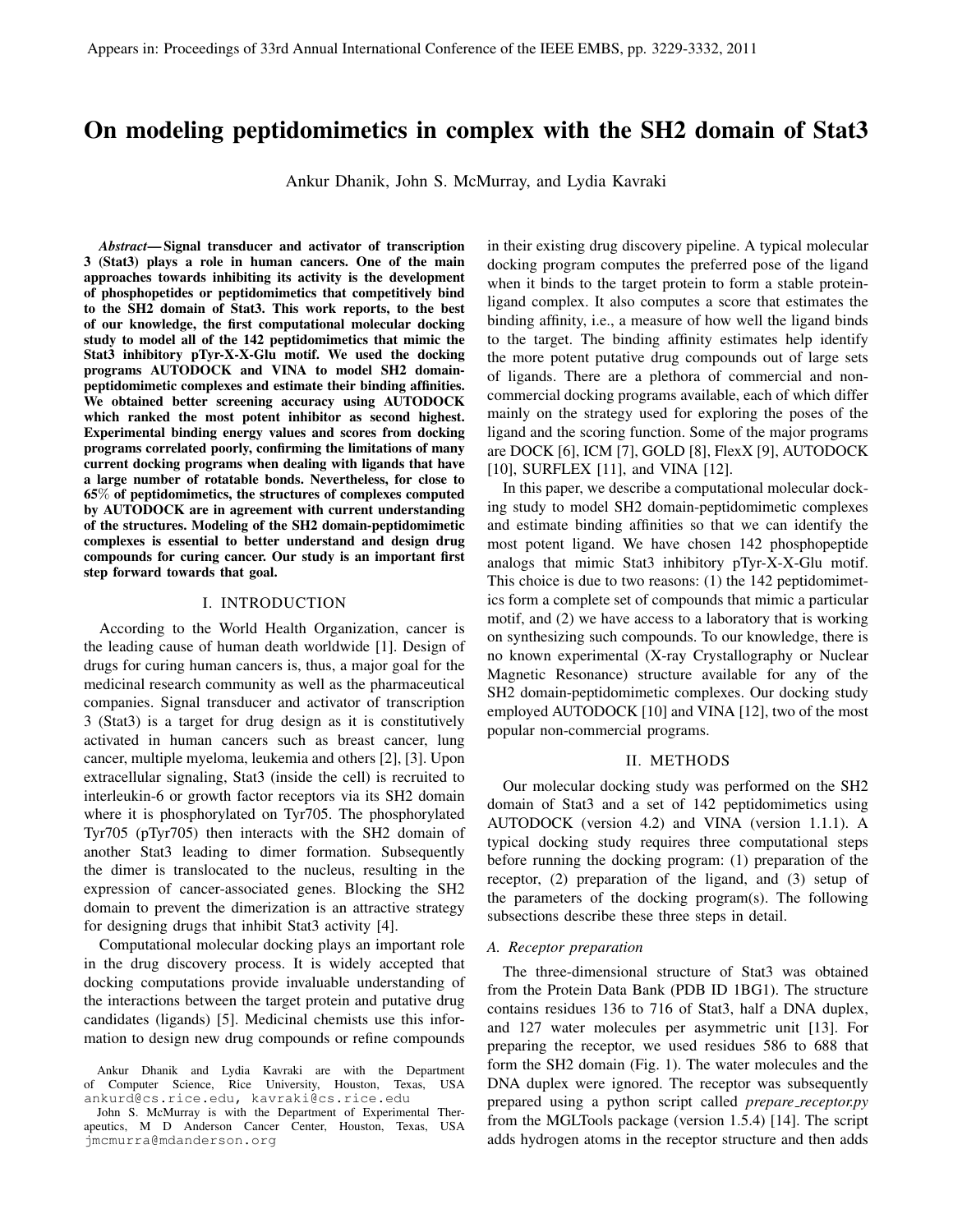# On modeling peptidomimetics in complex with the SH2 domain of Stat3

Ankur Dhanik, John S. McMurray, and Lydia Kavraki

*Abstract*— Signal transducer and activator of transcription 3 (Stat3) plays a role in human cancers. One of the main approaches towards inhibiting its activity is the development of phosphopetides or peptidomimetics that competitively bind to the SH2 domain of Stat3. This work reports, to the best of our knowledge, the first computational molecular docking study to model all of the 142 peptidomimetics that mimic the Stat3 inhibitory pTyr-X-X-Glu motif. We used the docking programs AUTODOCK and VINA to model SH2 domainpeptidomimetic complexes and estimate their binding affinities. We obtained better screening accuracy using AUTODOCK which ranked the most potent inhibitor as second highest. Experimental binding energy values and scores from docking programs correlated poorly, confirming the limitations of many current docking programs when dealing with ligands that have a large number of rotatable bonds. Nevertheless, for close to 65% of peptidomimetics, the structures of complexes computed by AUTODOCK are in agreement with current understanding of the structures. Modeling of the SH2 domain-peptidomimetic complexes is essential to better understand and design drug compounds for curing cancer. Our study is an important first step forward towards that goal.

#### I. INTRODUCTION

According to the World Health Organization, cancer is the leading cause of human death worldwide [1]. Design of drugs for curing human cancers is, thus, a major goal for the medicinal research community as well as the pharmaceutical companies. Signal transducer and activator of transcription 3 (Stat3) is a target for drug design as it is constitutively activated in human cancers such as breast cancer, lung cancer, multiple myeloma, leukemia and others [2], [3]. Upon extracellular signaling, Stat3 (inside the cell) is recruited to interleukin-6 or growth factor receptors via its SH2 domain where it is phosphorylated on Tyr705. The phosphorylated Tyr705 (pTyr705) then interacts with the SH2 domain of another Stat3 leading to dimer formation. Subsequently the dimer is translocated to the nucleus, resulting in the expression of cancer-associated genes. Blocking the SH2 domain to prevent the dimerization is an attractive strategy for designing drugs that inhibit Stat3 activity [4].

Computational molecular docking plays an important role in the drug discovery process. It is widely accepted that docking computations provide invaluable understanding of the interactions between the target protein and putative drug candidates (ligands) [5]. Medicinal chemists use this information to design new drug compounds or refine compounds

in their existing drug discovery pipeline. A typical molecular docking program computes the preferred pose of the ligand when it binds to the target protein to form a stable proteinligand complex. It also computes a score that estimates the binding affinity, i.e., a measure of how well the ligand binds to the target. The binding affinity estimates help identify the more potent putative drug compounds out of large sets of ligands. There are a plethora of commercial and noncommercial docking programs available, each of which differ mainly on the strategy used for exploring the poses of the ligand and the scoring function. Some of the major programs are DOCK [6], ICM [7], GOLD [8], FlexX [9], AUTODOCK [10], SURFLEX [11], and VINA [12].

In this paper, we describe a computational molecular docking study to model SH2 domain-peptidomimetic complexes and estimate binding affinities so that we can identify the most potent ligand. We have chosen 142 phosphopeptide analogs that mimic Stat3 inhibitory pTyr-X-X-Glu motif. This choice is due to two reasons: (1) the 142 peptidomimetics form a complete set of compounds that mimic a particular motif, and (2) we have access to a laboratory that is working on synthesizing such compounds. To our knowledge, there is no known experimental (X-ray Crystallography or Nuclear Magnetic Resonance) structure available for any of the SH2 domain-peptidomimetic complexes. Our docking study employed AUTODOCK [10] and VINA [12], two of the most popular non-commercial programs.

## II. METHODS

Our molecular docking study was performed on the SH2 domain of Stat3 and a set of 142 peptidomimetics using AUTODOCK (version 4.2) and VINA (version 1.1.1). A typical docking study requires three computational steps before running the docking program: (1) preparation of the receptor, (2) preparation of the ligand, and (3) setup of the parameters of the docking program(s). The following subsections describe these three steps in detail.

### *A. Receptor preparation*

The three-dimensional structure of Stat3 was obtained from the Protein Data Bank (PDB ID 1BG1). The structure contains residues 136 to 716 of Stat3, half a DNA duplex, and 127 water molecules per asymmetric unit [13]. For preparing the receptor, we used residues 586 to 688 that form the SH2 domain (Fig. 1). The water molecules and the DNA duplex were ignored. The receptor was subsequently prepared using a python script called *prepare receptor.py* from the MGLTools package (version 1.5.4) [14]. The script adds hydrogen atoms in the receptor structure and then adds

Ankur Dhanik and Lydia Kavraki are with the Department of Computer Science, Rice University, Houston, Texas, USA ankurd@cs.rice.edu, kavraki@cs.rice.edu

John S. McMurray is with the Department of Experimental Therapeutics, M D Anderson Cancer Center, Houston, Texas, USA jmcmurra@mdanderson.org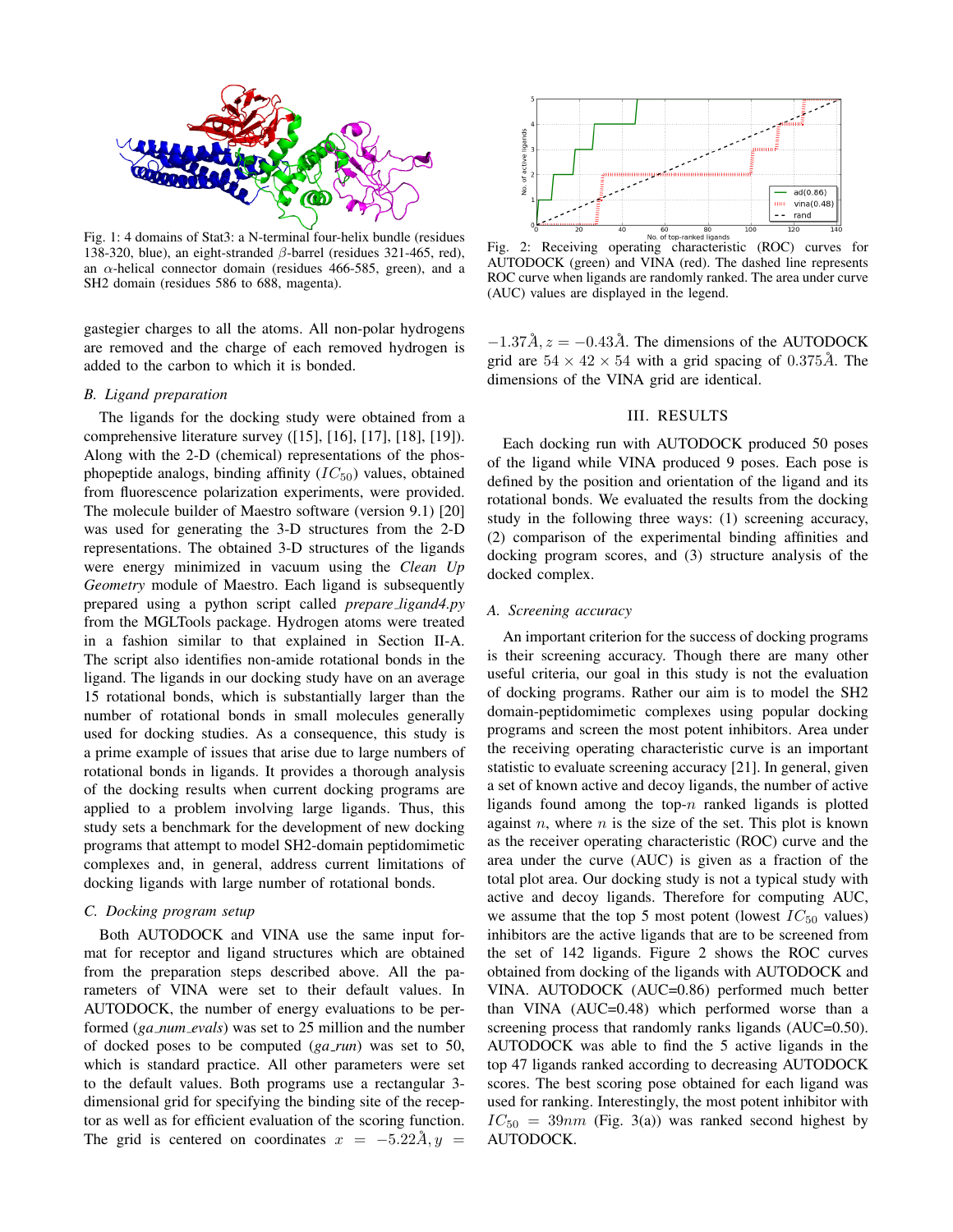

Fig. 1: 4 domains of Stat3: a N-terminal four-helix bundle (residues 138-320, blue), an eight-stranded β-barrel (residues 321-465, red), an  $\alpha$ -helical connector domain (residues 466-585, green), and a SH2 domain (residues 586 to 688, magenta).

gastegier charges to all the atoms. All non-polar hydrogens are removed and the charge of each removed hydrogen is added to the carbon to which it is bonded.

## *B. Ligand preparation*

The ligands for the docking study were obtained from a comprehensive literature survey ([15], [16], [17], [18], [19]). Along with the 2-D (chemical) representations of the phosphopeptide analogs, binding affinity  $(IC_{50})$  values, obtained from fluorescence polarization experiments, were provided. The molecule builder of Maestro software (version 9.1) [20] was used for generating the 3-D structures from the 2-D representations. The obtained 3-D structures of the ligands were energy minimized in vacuum using the *Clean Up Geometry* module of Maestro. Each ligand is subsequently prepared using a python script called *prepare ligand4.py* from the MGLTools package. Hydrogen atoms were treated in a fashion similar to that explained in Section II-A. The script also identifies non-amide rotational bonds in the ligand. The ligands in our docking study have on an average 15 rotational bonds, which is substantially larger than the number of rotational bonds in small molecules generally used for docking studies. As a consequence, this study is a prime example of issues that arise due to large numbers of rotational bonds in ligands. It provides a thorough analysis of the docking results when current docking programs are applied to a problem involving large ligands. Thus, this study sets a benchmark for the development of new docking programs that attempt to model SH2-domain peptidomimetic complexes and, in general, address current limitations of docking ligands with large number of rotational bonds.

## *C. Docking program setup*

Both AUTODOCK and VINA use the same input format for receptor and ligand structures which are obtained from the preparation steps described above. All the parameters of VINA were set to their default values. In AUTODOCK, the number of energy evaluations to be performed (*ga\_num\_evals*) was set to 25 million and the number of docked poses to be computed (*ga run*) was set to 50, which is standard practice. All other parameters were set to the default values. Both programs use a rectangular 3 dimensional grid for specifying the binding site of the receptor as well as for efficient evaluation of the scoring function. The grid is centered on coordinates  $x = -5.22\AA$ ,  $y =$ 



AUTODOCK (green) and VINA (red). The dashed line represents ROC curve when ligands are randomly ranked. The area under curve (AUC) values are displayed in the legend.

 $-1.37\AA$ ,  $z = -0.43\AA$ . The dimensions of the AUTODOCK grid are  $54 \times 42 \times 54$  with a grid spacing of 0.375Å. The dimensions of the VINA grid are identical.

## III. RESULTS

Each docking run with AUTODOCK produced 50 poses of the ligand while VINA produced 9 poses. Each pose is defined by the position and orientation of the ligand and its rotational bonds. We evaluated the results from the docking study in the following three ways: (1) screening accuracy, (2) comparison of the experimental binding affinities and docking program scores, and (3) structure analysis of the docked complex.

#### *A. Screening accuracy*

An important criterion for the success of docking programs is their screening accuracy. Though there are many other useful criteria, our goal in this study is not the evaluation of docking programs. Rather our aim is to model the SH2 domain-peptidomimetic complexes using popular docking programs and screen the most potent inhibitors. Area under the receiving operating characteristic curve is an important statistic to evaluate screening accuracy [21]. In general, given a set of known active and decoy ligands, the number of active ligands found among the top- $n$  ranked ligands is plotted against  $n$ , where  $n$  is the size of the set. This plot is known as the receiver operating characteristic (ROC) curve and the area under the curve (AUC) is given as a fraction of the total plot area. Our docking study is not a typical study with active and decoy ligands. Therefore for computing AUC, we assume that the top 5 most potent (lowest  $IC_{50}$  values) inhibitors are the active ligands that are to be screened from the set of 142 ligands. Figure 2 shows the ROC curves obtained from docking of the ligands with AUTODOCK and VINA. AUTODOCK (AUC=0.86) performed much better than VINA (AUC=0.48) which performed worse than a screening process that randomly ranks ligands (AUC=0.50). AUTODOCK was able to find the 5 active ligands in the top 47 ligands ranked according to decreasing AUTODOCK scores. The best scoring pose obtained for each ligand was used for ranking. Interestingly, the most potent inhibitor with  $IC_{50} = 39nm$  (Fig. 3(a)) was ranked second highest by AUTODOCK.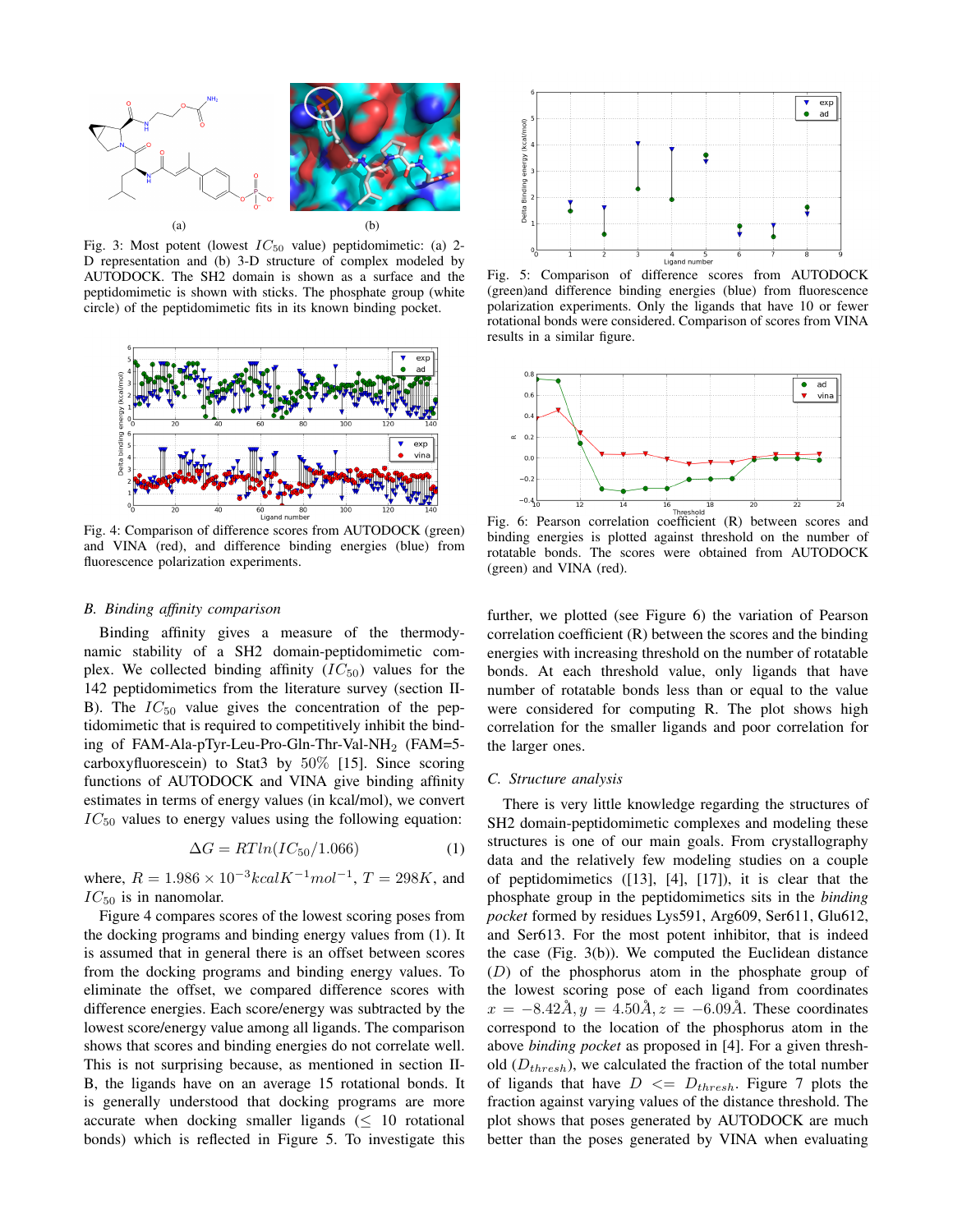

Fig. 3: Most potent (lowest  $IC_{50}$  value) peptidomimetic: (a) 2-D representation and (b) 3-D structure of complex modeled by AUTODOCK. The SH2 domain is shown as a surface and the peptidomimetic is shown with sticks. The phosphate group (white circle) of the peptidomimetic fits in its known binding pocket.



Fig. 4: Comparison of difference scores from AUTODOCK (green) and VINA (red), and difference binding energies (blue) from fluorescence polarization experiments.

## *B. Binding affinity comparison*

Binding affinity gives a measure of the thermodynamic stability of a SH2 domain-peptidomimetic complex. We collected binding affinity  $(IC_{50})$  values for the 142 peptidomimetics from the literature survey (section II-B). The  $IC_{50}$  value gives the concentration of the peptidomimetic that is required to competitively inhibit the binding of FAM-Ala-pTyr-Leu-Pro-Gln-Thr-Val-NH<sub>2</sub> (FAM=5carboxyfluorescein) to Stat3 by 50% [15]. Since scoring functions of AUTODOCK and VINA give binding affinity estimates in terms of energy values (in kcal/mol), we convert  $IC_{50}$  values to energy values using the following equation:

$$
\Delta G = RTln(IC_{50}/1.066) \tag{1}
$$

where,  $R = 1.986 \times 10^{-3}kcalK^{-1}mol^{-1}$ ,  $T = 298K$ , and  $IC_{50}$  is in nanomolar.

Figure 4 compares scores of the lowest scoring poses from the docking programs and binding energy values from (1). It is assumed that in general there is an offset between scores from the docking programs and binding energy values. To eliminate the offset, we compared difference scores with difference energies. Each score/energy was subtracted by the lowest score/energy value among all ligands. The comparison shows that scores and binding energies do not correlate well. This is not surprising because, as mentioned in section II-B, the ligands have on an average 15 rotational bonds. It is generally understood that docking programs are more accurate when docking smaller ligands  $\leq 10$  rotational bonds) which is reflected in Figure 5. To investigate this



Fig. 5: Comparison of difference scores from AUTODOCK (green)and difference binding energies (blue) from fluorescence polarization experiments. Only the ligands that have 10 or fewer rotational bonds were considered. Comparison of scores from VINA results in a similar figure.



Fig. 6: Pearson correlation coefficient (R) between scores and binding energies is plotted against threshold on the number of rotatable bonds. The scores were obtained from AUTODOCK (green) and VINA (red).

further, we plotted (see Figure 6) the variation of Pearson correlation coefficient (R) between the scores and the binding energies with increasing threshold on the number of rotatable bonds. At each threshold value, only ligands that have number of rotatable bonds less than or equal to the value were considered for computing R. The plot shows high correlation for the smaller ligands and poor correlation for the larger ones.

#### *C. Structure analysis*

There is very little knowledge regarding the structures of SH2 domain-peptidomimetic complexes and modeling these structures is one of our main goals. From crystallography data and the relatively few modeling studies on a couple of peptidomimetics ([13], [4], [17]), it is clear that the phosphate group in the peptidomimetics sits in the *binding pocket* formed by residues Lys591, Arg609, Ser611, Glu612, and Ser613. For the most potent inhibitor, that is indeed the case (Fig. 3(b)). We computed the Euclidean distance (D) of the phosphorus atom in the phosphate group of the lowest scoring pose of each ligand from coordinates  $x = -8.42\AA, y = 4.50\AA, z = -6.09\AA$ . These coordinates correspond to the location of the phosphorus atom in the above *binding pocket* as proposed in [4]. For a given threshold  $(D_{thresh})$ , we calculated the fraction of the total number of ligands that have  $D \leq D_{thresh}$ . Figure 7 plots the fraction against varying values of the distance threshold. The plot shows that poses generated by AUTODOCK are much better than the poses generated by VINA when evaluating